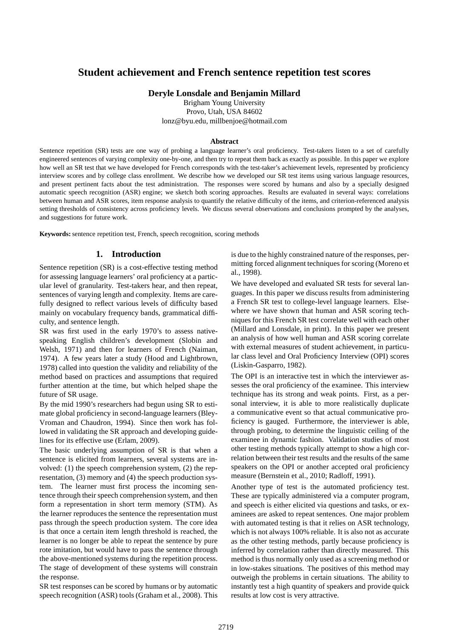# **Student achievement and French sentence repetition test scores**

**Deryle Lonsdale and Benjamin Millard**

Brigham Young University Provo, Utah, USA 84602 lonz@byu.edu, millbenjoe@hotmail.com

#### **Abstract**

Sentence repetition (SR) tests are one way of probing a language learner's oral proficiency. Test-takers listen to a set of carefully engineered sentences of varying complexity one-by-one, and then try to repeat them back as exactly as possible. In this paper we explore how well an SR test that we have developed for French corresponds with the test-taker's achievement levels, represented by proficiency interview scores and by college class enrollment. We describe how we developed our SR test items using various language resources, and present pertinent facts about the test administration. The responses were scored by humans and also by a specially designed automatic speech recognition (ASR) engine; we sketch both scoring approaches. Results are evaluated in several ways: correlations between human and ASR scores, item response analysis to quantify the relative difficulty of the items, and criterion-referenced analysis setting thresholds of consistency across proficiency levels. We discuss several observations and conclusions prompted by the analyses, and suggestions for future work.

**Keywords:**sentence repetition test, French, speech recognition, scoring methods

# **1. Introduction**

Sentence repetition (SR) is a cost-effective testing method for assessing language learners' oral proficiency at a particular level of granularity. Test-takers hear, and then repeat, sentences of varying length and complexity. Items are carefully designed to reflect various levels of difficulty based mainly on vocabulary frequency bands, grammatical difficulty, and sentence length.

SR was first used in the early 1970's to assess nativespeaking English children's development (Slobin and Welsh, 1971) and then for learners of French (Naiman, 1974). A few years later a study (Hood and Lightbrown, 1978) called into question the validity and reliability of the method based on practices and assumptions that required further attention at the time, but which helped shape the future of SR usage.

By the mid 1990's researchers had begun using SR to estimate global proficiency in second-language learners (Bley-Vroman and Chaudron, 1994). Since then work has followed in validating the SR approach and developing guidelines for its effective use (Erlam, 2009).

The basic underlying assumption of SR is that when a sentence is elicited from learners, several systems are involved: (1) the speech comprehension system, (2) the representation, (3) memory and (4) the speech production system. The learner must first process the incoming sentence through their speech comprehension system, and then form a representation in short term memory (STM). As the learner reproduces the sentence the representation must pass through the speech production system. The core idea is that once a certain item length threshold is reached, the learner is no longer be able to repeat the sentence by pure rote imitation, but would have to pass the sentence through the above-mentioned systems during the repetition process. The stage of development of these systems will constrain the response.

SR test responses can be scored by humans or by automatic speech recognition (ASR) tools (Graham et al., 2008). This is due to the highly constrained nature of the responses, permitting forced alignment techniques for scoring (Moreno et al., 1998).

We have developed and evaluated SR tests for several languages. In this paper we discuss results from administering a French SR test to college-level language learners. Elsewhere we have shown that human and ASR scoring techniques for this French SR test correlate well with each other (Millard and Lonsdale, in print). In this paper we present an analysis of how well human and ASR scoring correlate with external measures of student achievement, in particular class level and Oral Proficiency Interview (OPI) scores (Liskin-Gasparro, 1982).

The OPI is an interactive test in which the interviewer assesses the oral proficiency of the examinee. This interview technique has its strong and weak points. First, as a personal interview, it is able to more realistically duplicate a communicative event so that actual communicative proficiency is gauged. Furthermore, the interviewer is able, through probing, to determine the linguistic ceiling of the examinee in dynamic fashion. Validation studies of most other testing methods typically attempt to show a high correlation between their test results and the results of the same speakers on the OPI or another accepted oral proficiency measure (Bernstein et al., 2010; Radloff, 1991).

Another type of test is the automated proficiency test. These are typically administered via a computer program, and speech is either elicited via questions and tasks, or examinees are asked to repeat sentences. One major problem with automated testing is that it relies on ASR technology, which is not always 100% reliable. It is also not as accurate as the other testing methods, partly because proficiency is inferred by correlation rather than directly measured. This method is thus normally only used as a screening method or in low-stakes situations. The positives of this method may outweigh the problems in certain situations. The ability to instantly test a high quantity of speakers and provide quick results at low cost is very attractive.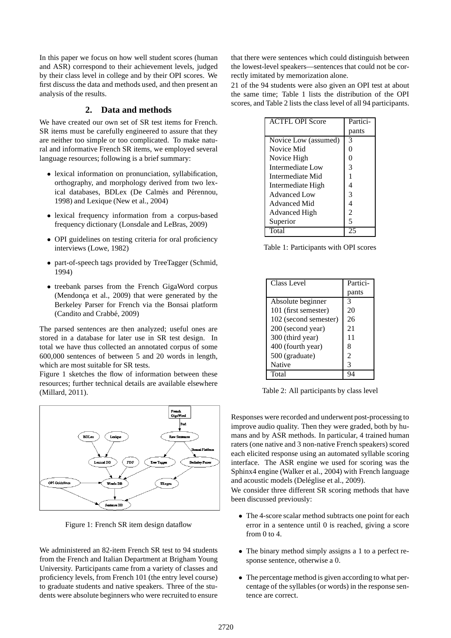In this paper we focus on how well student scores (human and ASR) correspond to their achievement levels, judged by their class level in college and by their OPI scores. We first discuss the data and methods used, and then present an analysis of the results.

# **2. Data and methods**

We have created our own set of SR test items for French. SR items must be carefully engineered to assure that they are neither too simple or too complicated. To make natural and informative French SR items, we employed several language resources; following is a brief summary:

- lexical information on pronunciation, syllabification, orthography, and morphology derived from two lexical databases, BDLex (De Calmès and Pérennou, 1998) and Lexique (New et al., 2004)
- lexical frequency information from a corpus-based frequency dictionary (Lonsdale and LeBras, 2009)
- OPI guidelines on testing criteria for oral proficiency interviews (Lowe, 1982)
- part-of-speech tags provided by TreeTagger (Schmid, 1994)
- treebank parses from the French GigaWord corpus (Mendonça et al., 2009) that were generated by the Berkeley Parser for French via the Bonsai platform (Candito and Crabbé, 2009)

The parsed sentences are then analyzed; useful ones are stored in a database for later use in SR test design. In total we have thus collected an annotated corpus of some 600,000 sentences of between 5 and 20 words in length, which are most suitable for SR tests.

Figure 1 sketches the flow of information between these resources; further technical details are available elsewhere (Millard, 2011).



Figure 1: French SR item design dataflow

We administered an 82-item French SR test to 94 students from the French and Italian Department at Brigham Young University. Participants came from a variety of classes and proficiency levels, from French 101 (the entry level course) to graduate students and native speakers. Three of the students were absolute beginners who were recruited to ensure

that there were sentences which could distinguish between the lowest-level speakers—sentences that could not be correctly imitated by memorization alone.

21 of the 94 students were also given an OPI test at about the same time; Table 1 lists the distribution of the OPI scores, and Table 2 lists the class level of all 94 participants.

| <b>ACTFL OPI Score</b> | Partici- |
|------------------------|----------|
|                        | pants    |
| Novice Low (assumed)   | 3        |
| Novice Mid             |          |
| Novice High            | 0        |
| Intermediate Low       | 3        |
| Intermediate Mid       |          |
| Intermediate High      |          |
| Advanced Low           | 3        |
| <b>Advanced Mid</b>    |          |
| <b>Advanced High</b>   | 2        |
| Superior               | 5        |
| Total                  |          |

Table 1: Participants with OPI scores

| Class Level           | Partici- |
|-----------------------|----------|
|                       | pants    |
| Absolute beginner     | 3        |
| 101 (first semester)  | 20       |
| 102 (second semester) | 26       |
| 200 (second year)     | 21       |
| 300 (third year)      | 11       |
| 400 (fourth year)     | 8        |
| 500 (graduate)        | 2        |
| <b>Native</b>         | 3        |
| Total                 |          |

Table 2: All participants by class level

Responses were recorded and underwent post-processing to improve audio quality. Then they were graded, both by humans and by ASR methods. In particular, 4 trained human raters (one native and 3 non-native French speakers) scored each elicited response using an automated syllable scoring interface. The ASR engine we used for scoring was the Sphinx4 engine (Walker et al., 2004) with French language and acoustic models (Deléglise et al., 2009).

We consider three different SR scoring methods that have been discussed previously:

- The 4-score scalar method subtracts one point for each error in a sentence until 0 is reached, giving a score from 0 to 4.
- The binary method simply assigns a 1 to a perfect response sentence, otherwise a 0.
- The percentage method is given according to what percentage of the syllables (or words) in the response sentence are correct.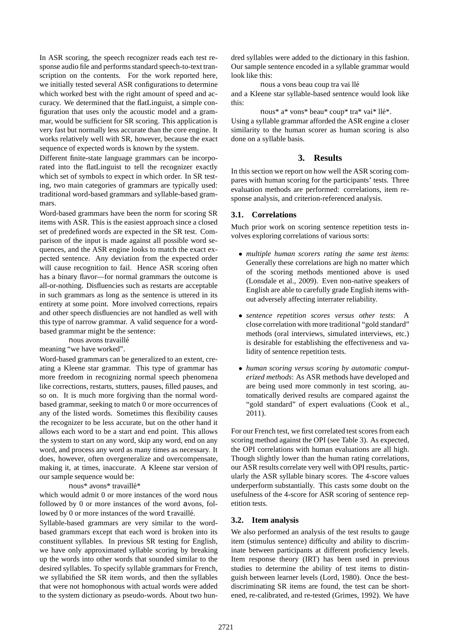In ASR scoring, the speech recognizer reads each test response audio file and performs standard speech-to-text transcription on the contents. For the work reported here, we initially tested several ASR configurations to determine which worked best with the right amount of speed and accuracy. We determined that the flatLinguist, a simple configuration that uses only the acoustic model and a grammar, would be sufficient for SR scoring. This application is very fast but normally less accurate than the core engine. It works relatively well with SR, however, because the exact sequence of expected words is known by the system.

Different finite-state language grammars can be incorporated into the flatLinguist to tell the recognizer exactly which set of symbols to expect in which order. In SR testing, two main categories of grammars are typically used: traditional word-based grammars and syllable-based grammars.

Word-based grammars have been the norm for scoring SR items with ASR. This is the easiest approach since a closed set of predefined words are expected in the SR test. Comparison of the input is made against all possible word sequences, and the ASR engine looks to match the exact expected sentence. Any deviation from the expected order will cause recognition to fail. Hence ASR scoring often has a binary flavor—for normal grammars the outcome is all-or-nothing. Disfluencies such as restarts are acceptable in such grammars as long as the sentence is uttered in its entirety at some point. More involved corrections, repairs and other speech disfluencies are not handled as well with this type of narrow grammar. A valid sequence for a wordbased grammar might be the sentence:

nous avons travaillé

meaning "we have worked".

Word-based grammars can be generalized to an extent, creating a Kleene star grammar. This type of grammar has more freedom in recognizing normal speech phenomena like corrections, restarts, stutters, pauses, filled pauses, and so on. It is much more forgiving than the normal wordbased grammar, seeking to match 0 or more occurrences of any of the listed words. Sometimes this flexibility causes the recognizer to be less accurate, but on the other hand it allows each word to be a start and end point. This allows the system to start on any word, skip any word, end on any word, and process any word as many times as necessary. It does, however, often overgeneralize and overcompensate, making it, at times, inaccurate. A Kleene star version of our sample sequence would be:

nous\* avons\* travaillé\*

which would admit 0 or more instances of the word nous followed by 0 or more instances of the word avons, followed by 0 or more instances of the word travaillé.

Syllable-based grammars are very similar to the wordbased grammars except that each word is broken into its constituent syllables. In previous SR testing for English, we have only approximated syllable scoring by breaking up the words into other words that sounded similar to the desired syllables. To specify syllable grammars for French, we syllabified the SR item words, and then the syllables that were not homophonous with actual words were added to the system dictionary as pseudo-words. About two hundred syllables were added to the dictionary in this fashion. Our sample sentence encoded in a syllable grammar would look like this:

nous a vons beau coup tra vai ll´e and a Kleene star syllable-based sentence would look like this:

nous\* a\* vons\* beau\* coup\* tra\* vai\* llé\*. Using a syllable grammar afforded the ASR engine a closer similarity to the human scorer as human scoring is also done on a syllable basis.

# **3. Results**

In this section we report on how well the ASR scoring compares with human scoring for the participants' tests. Three evaluation methods are performed: correlations, item response analysis, and criterion-referenced analysis.

## **3.1. Correlations**

Much prior work on scoring sentence repetition tests involves exploring correlations of various sorts:

- *multiple human scorers rating the same test items*: Generally these correlations are high no matter which of the scoring methods mentioned above is used (Lonsdale et al., 2009). Even non-native speakers of English are able to carefully grade English items without adversely affecting interrater reliability.
- *sentence repetition scores versus other tests*: A close correlation with more traditional "gold standard" methods (oral interviews, simulated interviews, etc.) is desirable for establishing the effectiveness and validity of sentence repetition tests.
- *human scoring versus scoring by automatic computerized methods*: As ASR methods have developed and are being used more commonly in test scoring, automatically derived results are compared against the "gold standard" of expert evaluations (Cook et al., 2011).

For our French test, we first correlated test scores from each scoring method against the OPI (see Table 3). As expected, the OPI correlations with human evaluations are all high. Though slightly lower than the human rating correlations, our ASR results correlate very well with OPI results, particularly the ASR syllable binary scores. The 4-score values underperform substantially. This casts some doubt on the usefulness of the 4-score for ASR scoring of sentence repetition tests.

## **3.2. Item analysis**

We also performed an analysis of the test results to gauge item (stimulus sentence) difficulty and ability to discriminate between participants at different proficiency levels. Item response theory (IRT) has been used in previous studies to determine the ability of test items to distinguish between learner levels (Lord, 1980). Once the bestdiscriminating SR items are found, the test can be shortened, re-calibrated, and re-tested (Grimes, 1992). We have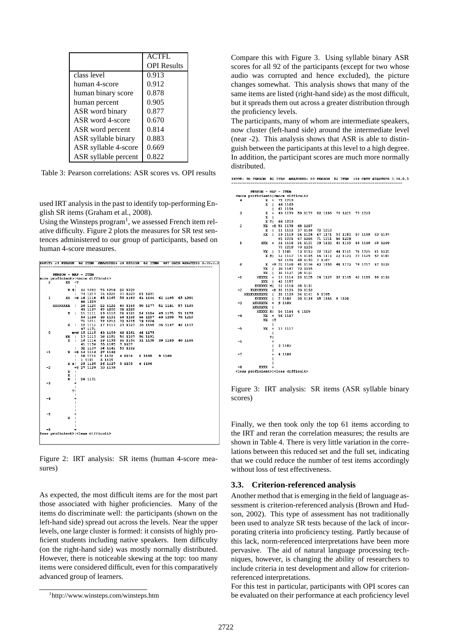|                      | <b>ACTFL</b>       |
|----------------------|--------------------|
|                      | <b>OPI</b> Results |
| class level          | 0.913              |
| human 4-score        | 0.912              |
| human binary score   | 0.878              |
| human percent        | 0.905              |
| ASR word binary      | 0.877              |
| ASR word 4-score     | 0.670              |
| ASR word percent     | 0.814              |
| ASR syllable binary  | 0.883              |
| ASR syllable 4-score | 0.669              |
| ASR syllable percent | 0.822              |

Table 3: Pearson correlations: ASR scores vs. OPI results

used IRT analysis in the past to identify top-performing English SR items (Graham et al., 2008).

Using the Winsteps program<sup>1</sup>, we assessed French item relative difficulty. Figure 2 plots the measures for SR test sentences administered to our group of participants, based on human 4-score measures.

|              |                                                                     |                          |             | INPUT: 24 PERSON 82 ITEM MEASURED: 24 PERSON 82 ITEM 407 CATS WINSTEPS 3.70.0      |         |  |  |  |  |
|--------------|---------------------------------------------------------------------|--------------------------|-------------|------------------------------------------------------------------------------------|---------|--|--|--|--|
|              |                                                                     |                          |             |                                                                                    |         |  |  |  |  |
|              | PERSON - MAP - ITEM<br>more proficient>  <more difficult=""></more> |                          |             |                                                                                    |         |  |  |  |  |
| $\mathbf{z}$ | $XX + T$                                                            |                          |             |                                                                                    |         |  |  |  |  |
|              |                                                                     | $\perp$                  |             |                                                                                    |         |  |  |  |  |
|              |                                                                     | x s                      |             | 66 1203 75 1219 82 1232                                                            |         |  |  |  |  |
|              |                                                                     | $\mathbf{I}$             |             | 74 1217 76 1221 77 1223 81 1231                                                    |         |  |  |  |  |
|              | $1 \quad$                                                           |                          |             | XX +8 18 1118 45 1165 53 1183 61 1194 62 1195 65 1201                              |         |  |  |  |  |
|              |                                                                     |                          | 80 1229     |                                                                                    |         |  |  |  |  |
|              |                                                                     |                          |             | XXXXXXXX   20 1120 22 1122 46 1169 50 1177 52 1181 57 1189                         |         |  |  |  |  |
|              |                                                                     |                          |             | 63 1197 67 1205 78 1225                                                            |         |  |  |  |  |
|              |                                                                     |                          |             | X   11 1111 19 1119 21 1121 24 1124 49 1175 51 1178                                |         |  |  |  |  |
|              |                                                                     |                          |             | 54 1184 60 1193 64 1199 68 1207 69 1209 70 1210                                    |         |  |  |  |  |
|              |                                                                     |                          |             | 71 1211 72 1213 73 1215 79 1226                                                    |         |  |  |  |  |
|              |                                                                     |                          |             | X   12 1112 17 1117 23 1123 35 1145 36 1147 42 1157                                |         |  |  |  |  |
|              |                                                                     |                          | 47 1171     |                                                                                    |         |  |  |  |  |
| ٥            |                                                                     |                          |             | MHM 15 1115 43 1159 44 1161 48 1173                                                |         |  |  |  |  |
|              |                                                                     | $\mathbf{x}$<br>$X \cup$ |             | 13 1113 38 1151 56 1187 58 1191<br>16 1116 29 1133 30 1134 31 1135 39 1153 40 1155 |         |  |  |  |  |
|              |                                                                     |                          |             | 41 1156 55 1185 7 1107                                                             |         |  |  |  |  |
|              |                                                                     | $\mathbf{L}$             |             | 32 1137 34 1141                                                                    | 59 1192 |  |  |  |  |
| -1           |                                                                     |                          |             | X +3 14 1114 37 1148                                                               |         |  |  |  |  |
|              |                                                                     | $\mathbf{I}$             |             | 10 1110 2 1102 4 1104 8 1108 9 1109                                                |         |  |  |  |  |
|              |                                                                     | $\mathbf{L}$             |             | 1 1101 5 1105                                                                      |         |  |  |  |  |
|              |                                                                     |                          |             | X S  25 1125 26 1127 3 1103 6 1106                                                 |         |  |  |  |  |
| -2           |                                                                     |                          |             | +T 27 1129 33 1139                                                                 |         |  |  |  |  |
|              |                                                                     | $x +$                    |             |                                                                                    |         |  |  |  |  |
|              |                                                                     | X I                      |             |                                                                                    |         |  |  |  |  |
|              |                                                                     |                          | X   28 1131 |                                                                                    |         |  |  |  |  |
| -3           |                                                                     | ٠                        |             |                                                                                    |         |  |  |  |  |
|              |                                                                     | $\mathbf{I}$             |             |                                                                                    |         |  |  |  |  |
|              |                                                                     | ΤI                       |             |                                                                                    |         |  |  |  |  |
| -4           |                                                                     |                          |             |                                                                                    |         |  |  |  |  |
|              |                                                                     |                          |             |                                                                                    |         |  |  |  |  |
|              |                                                                     |                          |             |                                                                                    |         |  |  |  |  |
|              |                                                                     |                          |             |                                                                                    |         |  |  |  |  |
| -5           |                                                                     |                          |             |                                                                                    |         |  |  |  |  |
|              | x.                                                                  |                          |             |                                                                                    |         |  |  |  |  |
|              |                                                                     |                          |             |                                                                                    |         |  |  |  |  |
|              |                                                                     |                          |             |                                                                                    |         |  |  |  |  |
| -6           |                                                                     |                          |             |                                                                                    |         |  |  |  |  |
|              | less proficient>  <less difficult=""></less>                        |                          |             |                                                                                    |         |  |  |  |  |
|              |                                                                     |                          |             |                                                                                    |         |  |  |  |  |

Figure 2: IRT analysis: SR items (human 4-score measures)

As expected, the most difficult items are for the most part those associated with higher proficiencies. Many of the items do discriminate well: the participants (shown on the left-hand side) spread out across the levels. Near the upper levels, one large cluster is formed: it consists of highly proficient students including native speakers. Item difficulty (on the right-hand side) was mostly normally distributed. However, there is noticeable skewing at the top: too many items were considered difficult, even for this comparatively advanced group of learners.

Compare this with Figure 3. Using syllable binary ASR scores for all 92 of the participants (except for two whose audio was corrupted and hence excluded), the picture changes somewhat. This analysis shows that many of the same items are listed (right-hand side) as the most difficult, but it spreads them out across a greater distribution through the proficiency levels.

The participants, many of whom are intermediate speakers, now cluster (left-hand side) around the intermediate level (near -2). This analysis shows that ASR is able to distinguish between the participants at this level to a high degree. In addition, the participant scores are much more normally distributed.

| INPUT: 90 PERSON 82 ITEM MEASURED: 89 PERSON 82 ITEM 164 CATS WINSTEPS 3.70.0.3 |  |
|---------------------------------------------------------------------------------|--|
|---------------------------------------------------------------------------------|--|

|                         | PERSON - MAP - ITEM                                    |                     |                     |                 |                        |                                 |                                 |         |
|-------------------------|--------------------------------------------------------|---------------------|---------------------|-----------------|------------------------|---------------------------------|---------------------------------|---------|
|                         | <more proficient=""> <more difficult=""></more></more> |                     |                     |                 |                        |                                 |                                 |         |
| 4                       | x                                                      | $+$                 | 75 1219             |                 |                        |                                 |                                 |         |
|                         | x                                                      | $\mathbf{L}$        | 46 1169             |                 |                        |                                 |                                 |         |
|                         |                                                        | L                   | 61 1194             |                 |                        |                                 |                                 |         |
| 3                       | х                                                      | $+$                 | 49 1175             |                 |                        | 50 1177 62 1195 76 1221 77 1223 |                                 |         |
|                         | x                                                      | $\mathsf{I}$        |                     |                 |                        |                                 |                                 |         |
|                         |                                                        | $X$ T               | 66 1203             |                 |                        |                                 |                                 |         |
| $\overline{\mathbf{2}}$ | xx                                                     |                     | +\$ 51 1178 68 1207 |                 |                        |                                 |                                 |         |
|                         | x                                                      | L                   |                     | 11 1111 37 1148 | 72 1213                |                                 |                                 |         |
|                         | XX                                                     | L                   |                     | 19 1119 24 1124 | 47 1171                | 53 1183                         | 57 1189                         | 63 1197 |
|                         |                                                        |                     |                     | 65 1201 67 1205 | 71 1211                | 80 1229                         |                                 |         |
| ı                       | XXX                                                    | $+$                 | 18 1118             | 21 1121         | 29 1133                | 45 1165                         | 64 1199                         | 69 1209 |
|                         |                                                        |                     | 70 1210             | 79 1226         |                        |                                 |                                 |         |
|                         | xx                                                     | $\blacksquare$      | 1 1101              | 13 1113         |                        |                                 | 22 1122 44 1161 78 1225         | 81 1231 |
|                         |                                                        | $X$ $S$             |                     | 12 1112 15 1115 | 16 1116                | 23 1123                         | 27 1129                         | 52 1181 |
|                         |                                                        |                     | 58 1191             | 60 1193         | 7 1107                 |                                 |                                 |         |
| $\bf{0}$                | x                                                      |                     | $+M$ 20 1120        | 41 1156         |                        | 43 1159 48 1173                 | 74 1217                         | 82 1232 |
|                         | XX                                                     | $\mathbf{L}$        |                     | 36 1147 73 1215 |                        |                                 |                                 |         |
|                         | xx                                                     | $\mathbf{I}$        |                     | 32 1137 38 1151 |                        |                                 |                                 |         |
| $-1$                    | XXXXX                                                  | $+$                 | 14 1114             | 25 1125         |                        |                                 | 26 1127 35 1145 40 1155 59 1192 |         |
|                         | XXX                                                    | $\mathbf{I}$        | 42 1157             |                 |                        |                                 |                                 |         |
|                         | XXXXXX MI                                              |                     |                     | 10 1110 28 1131 |                        |                                 |                                 |         |
| $-2$                    | XXXXXXXX                                               |                     | +8 31 1135 39 1153  |                 |                        |                                 |                                 |         |
|                         | XXXXXXXXXXX                                            | $\mathbf{I}$        |                     | 33 1139 34 1141 | 5 1105                 |                                 |                                 |         |
|                         | XXXXXX                                                 | $\blacksquare$      | 2 1102              |                 | 30 1134 55 1185 8 1108 |                                 |                                 |         |
| -3                      | XXXXXXX +                                              |                     | 9 1109              |                 |                        |                                 |                                 |         |
|                         | XXXXXXX                                                | $\mathbf{I}$        |                     | 6 1106          |                        |                                 |                                 |         |
| $-4$                    | XXXXX \$1<br>xx                                        |                     | 54 1184<br>56 1187  |                 |                        |                                 |                                 |         |
|                         | XX                                                     | $+$<br>$\mathbf{T}$ |                     |                 |                        |                                 |                                 |         |
|                         |                                                        |                     |                     |                 |                        |                                 |                                 |         |
| $-5$                    | XX                                                     | Ш<br>$+$            | 17 1117             |                 |                        |                                 |                                 |         |
|                         |                                                        | ı                   |                     |                 |                        |                                 |                                 |         |
|                         |                                                        | T                   |                     |                 |                        |                                 |                                 |         |
| -6                      |                                                        | $\ddot{}$           |                     |                 |                        |                                 |                                 |         |
|                         |                                                        | Т                   | 3 1103              |                 |                        |                                 |                                 |         |
|                         |                                                        | L                   |                     |                 |                        |                                 |                                 |         |
| $-7$                    |                                                        | $+$                 | 4 1104              |                 |                        |                                 |                                 |         |
|                         |                                                        | L                   |                     |                 |                        |                                 |                                 |         |
|                         |                                                        | $\overline{1}$      |                     |                 |                        |                                 |                                 |         |
| -8                      | <b>XXXX</b>                                            | $+$                 |                     |                 |                        |                                 |                                 |         |
|                         | <less proficient=""><less difficult=""></less></less>  |                     |                     |                 |                        |                                 |                                 |         |

Figure 3: IRT analysis: SR items (ASR syllable binary scores)

Finally, we then took only the top 61 items according to the IRT and reran the correlation measures; the results are shown in Table 4. There is very little variation in the correlations between this reduced set and the full set, indicating that we could reduce the number of test items accordingly without loss of test effectiveness.

### **3.3. Criterion-referenced analysis**

Another method that is emerging in the field of language assessment is criterion-referenced analysis (Brown and Hudson, 2002). This type of assessment has not traditionally been used to analyze SR tests because of the lack of incorporating criteria into proficiency testing. Partly because of this lack, norm-referenced interpretations have been more pervasive. The aid of natural language processing techniques, however, is changing the ability of researchers to include criteria in test development and allow for criterionreferenced interpretations.

For this test in particular, participants with OPI scores can be evaluated on their performance at each proficiency level

<sup>1</sup> http://www.winsteps.com/winsteps.htm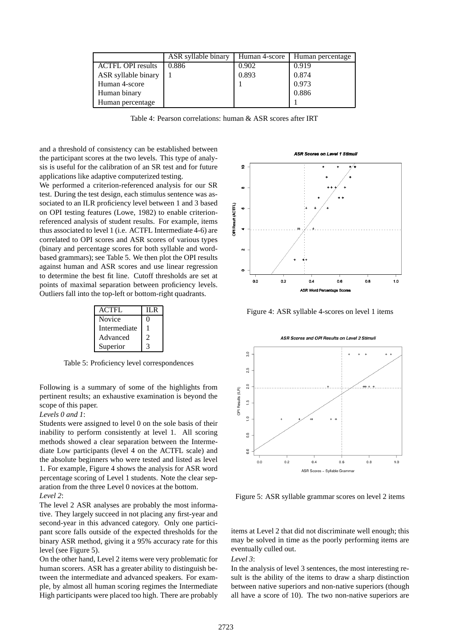|                          | ASR syllable binary | Human 4-score | Human percentage |
|--------------------------|---------------------|---------------|------------------|
| <b>ACTFL OPI</b> results | 0.886               | 0.902         | 0.919            |
| ASR syllable binary      |                     | 0.893         | 0.874            |
| Human 4-score            |                     |               | 0.973            |
| Human binary             |                     |               | 0.886            |
| Human percentage         |                     |               |                  |

Table 4: Pearson correlations: human & ASR scores after IRT

and a threshold of consistency can be established between the participant scores at the two levels. This type of analysis is useful for the calibration of an SR test and for future applications like adaptive computerized testing.

We performed a criterion-referenced analysis for our SR test. During the test design, each stimulus sentence was associated to an ILR proficiency level between 1 and 3 based on OPI testing features (Lowe, 1982) to enable criterionreferenced analysis of student results. For example, items thus associated to level 1 (i.e. ACTFL Intermediate 4-6) are correlated to OPI scores and ASR scores of various types (binary and percentage scores for both syllable and wordbased grammars); see Table 5. We then plot the OPI results against human and ASR scores and use linear regression to determine the best fit line. Cutoff thresholds are set at points of maximal separation between proficiency levels. Outliers fall into the top-left or bottom-right quadrants.

| <b>ACTFL</b> | II R |
|--------------|------|
| Novice       | 0    |
| Intermediate |      |
| Advanced     | 2    |
| Superior     |      |

Table 5: Proficiency level correspondences

Following is a summary of some of the highlights from pertinent results; an exhaustive examination is beyond the scope of this paper.

### *Levels 0 and 1*:

Students were assigned to level 0 on the sole basis of their inability to perform consistently at level 1. All scoring methods showed a clear separation between the Intermediate Low participants (level 4 on the ACTFL scale) and the absolute beginners who were tested and listed as level 1. For example, Figure 4 shows the analysis for ASR word percentage scoring of Level 1 students. Note the clear separation from the three Level 0 novices at the bottom. *Level 2*:

The level 2 ASR analyses are probably the most informative. They largely succeed in not placing any first-year and second-year in this advanced category. Only one participant score falls outside of the expected thresholds for the binary ASR method, giving it a 95% accuracy rate for this level (see Figure 5).

On the other hand, Level 2 items were very problematic for human scorers. ASR has a greater ability to distinguish between the intermediate and advanced speakers. For example, by almost all human scoring regimes the Intermediate High participants were placed too high. There are probably



Figure 4: ASR syllable 4-scores on level 1 items



Figure 5: ASR syllable grammar scores on level 2 items

items at Level 2 that did not discriminate well enough; this may be solved in time as the poorly performing items are eventually culled out.

*Level 3*:

In the analysis of level 3 sentences, the most interesting result is the ability of the items to draw a sharp distinction between native superiors and non-native superiors (though all have a score of 10). The two non-native superiors are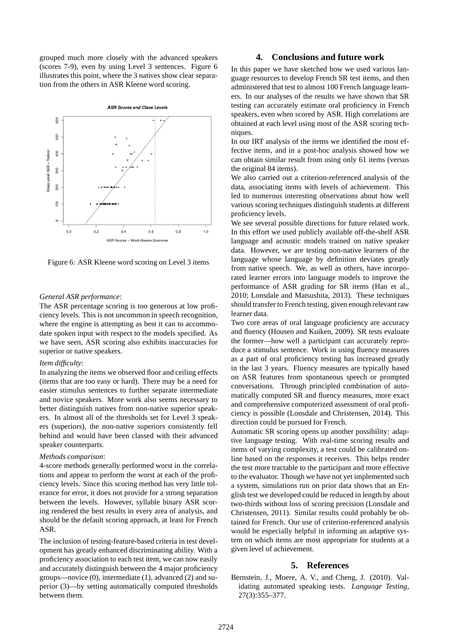grouped much more closely with the advanced speakers (scores 7-9), even by using Level 3 sentences. Figure 6 illustrates this point, where the 3 natives show clear separation from the others in ASR Kleene word scoring.



Figure 6: ASR Kleene word scoring on Level 3 items

#### *General ASR performance*:

The ASR percentage scoring is too generous at low proficiency levels. This is not uncommon in speech recognition, where the engine is attempting as best it can to accommodate spoken input with respect to the models specified. As we have seen, ASR scoring also exhibits inaccuracies for superior or native speakers.

### *Item difficulty*:

In analyzing the items we observed floor and ceiling effects (items that are too easy or hard). There may be a need for easier stimulus sentences to further separate intermediate and novice speakers. More work also seems necessary to better distinguish natives from non-native superior speakers. In almost all of the thresholds set for Level 3 speakers (superiors), the non-native superiors consistently fell behind and would have been classed with their advanced speaker counterparts.

#### *Methods comparison*:

4-score methods generally performed worst in the correlations and appear to perform the worst at each of the proficiency levels. Since this scoring method has very little tolerance for error, it does not provide for a strong separation between the levels. However, syllable binary ASR scoring rendered the best results in every area of analysis, and should be the default scoring approach, at least for French ASR.

The inclusion of testing-feature-based criteria in test development has greatly enhanced discriminating ability. With a proficiency association to each test item, we can now easily and accurately distinguish between the 4 major proficiency groups—novice (0), intermediate (1), advanced (2) and superior (3)—by setting automatically computed thresholds between them.

### **4. Conclusions and future work**

In this paper we have sketched how we used various language resources to develop French SR test items, and then administered that test to almost 100 French language learners. In our analyses of the results we have shown that SR testing can accurately estimate oral proficiency in French speakers, even when scored by ASR. High correlations are obtained at each level using most of the ASR scoring techniques.

In our IRT analysis of the items we identified the most effective items, and in a post-hoc analysis showed how we can obtain similar result from using only 61 items (versus the original 84 items).

We also carried out a criterion-referenced analysis of the data, associating items with levels of achievement. This led to numerous interesting observations about how well various scoring techniques distinguish students at different proficiency levels.

We see several possible directions for future related work. In this effort we used publicly available off-the-shelf ASR language and acoustic models trained on native speaker data. However, we are testing non-native learners of the language whose language by definition deviates greatly from native speech. We, as well as others, have incorporated learner errors into language models to improve the performance of ASR grading for SR items (Han et al., 2010; Lonsdale and Matsushita, 2013). These techniques should transfer to French testing, given enough relevant raw learner data.

Two core areas of oral language proficiency are accuracy and fluency (Housen and Kuiken, 2009). SR tests evaluate the former—how well a participant can accurately reproduce a stimulus sentence. Work in using fluency measures as a part of oral proficiency testing has increased greatly in the last 3 years. Fluency measures are typically based on ASR features from spontaneous speech or prompted conversations. Through principled combination of automatically computed SR and fluency measures, more exact and comprehensive computerized assessment of oral proficiency is possible (Lonsdale and Christensen, 2014). This direction could be pursued for French.

Automatic SR scoring opens up another possibility: adaptive language testing. With real-time scoring results and items of varying complexity, a test could be calibrated online based on the responses it receives. This helps render the test more tractable to the participant and more effective to the evaluator. Though we have not yet implemented such a system, simulations run on prior data shows that an English test we developed could be reduced in length by about two-thirds without loss of scoring precision (Lonsdale and Christensen, 2011). Similar results could probably be obtained for French. Our use of criterion-referenced analysis would be especially helpful in informing an adaptive system on which items are most appropriate for students at a given level of achievement.

## **5. References**

Bernstein, J., Moere, A. V., and Cheng, J. (2010). Validating automated speaking tests. *Language Testing*, 27(3):355–377.